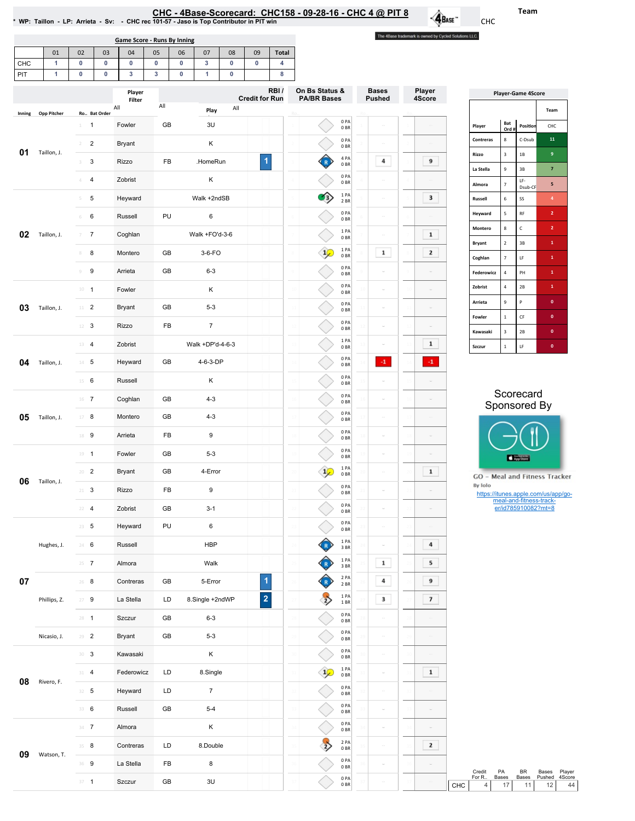| CHC - 4Base-Scorecard: CHC158 - 09-28-16 - CHC 4 $\varpi$ PIT 8                                     |  |
|-----------------------------------------------------------------------------------------------------|--|
| *  WP:  Taillon     LP:  Arrieta   -  Sv:       CHC rec 101-57 - Jaso is Top Contributor in PIT win |  |

The 4Base trademark is owned by Cycled Solutions LLC.

 $\cdot$   $\bigoplus$  Base

|            |                    |                                 |              | <b>Game Score - Runs By Inning</b> |                  |        |                  |        |                         |              |                                      |                                         |                        | The 4Base trademark is owned by Cycled Solutions L |
|------------|--------------------|---------------------------------|--------------|------------------------------------|------------------|--------|------------------|--------|-------------------------|--------------|--------------------------------------|-----------------------------------------|------------------------|----------------------------------------------------|
|            | 01                 | 02                              | 03           | 04                                 | 05               | 06     | 07               | 08     | 09                      | <b>Total</b> |                                      |                                         |                        |                                                    |
| CHC<br>PIT | 1<br>1             | 0<br>0                          | 0<br>0       | 0<br>3                             | 0<br>$\mathsf 3$ | 0<br>0 | 3<br>1           | 0<br>0 | 0                       | 4<br>8       |                                      |                                         |                        |                                                    |
|            |                    |                                 |              | Player<br><b>Filter</b>            |                  |        |                  |        | <b>Credit for Run</b>   | RBI/         | On Bs Status &<br><b>PA/BR Bases</b> |                                         | <b>Bases</b><br>Pushed | Player<br>4Score                                   |
| Inning     | <b>Opp Pitcher</b> |                                 | Ro Bat Order | All                                | All              |        | Play             | All    |                         |              |                                      |                                         |                        |                                                    |
|            |                    | 1<br>$\mathbf{1}$               |              | Fowler                             | GB               |        | 3U               |        |                         |              |                                      | 0PA<br>0BR                              |                        |                                                    |
| 01         | Taillon, J.        | $\overline{2}$<br>$\mathcal{P}$ |              | <b>Bryant</b>                      |                  |        | Κ                |        |                         |              |                                      | 0PA<br>0BR                              |                        |                                                    |
|            |                    | 3<br>3                          |              | Rizzo                              | FB               |        | .HomeRun         |        | 1                       |              |                                      | 4 PA<br>0BR                             | 4                      | 9                                                  |
|            |                    | 4<br>Δ                          |              | Zobrist                            |                  |        | Κ                |        |                         |              |                                      | 0PA<br>0BR                              |                        |                                                    |
|            |                    | 5<br>5                          |              | Heyward                            |                  |        | Walk +2ndSB      |        |                         |              | 13)                                  | 1 PA<br>2 BR                            |                        | 3                                                  |
|            |                    | $\,6\,$<br>6                    |              | Russell                            | PU               |        | 6                |        |                         |              |                                      | 0PA<br>0BR                              |                        |                                                    |
| 02         | Taillon, J.        | $\overline{7}$<br>7             |              | Coghlan                            |                  |        | Walk +FO'd-3-6   |        |                         |              |                                      | 1PA<br>0BR                              |                        | 1                                                  |
|            |                    | 8<br>8                          |              | Montero                            | GB               |        | 3-6-FO           |        |                         |              | $\frac{1}{2}$                        | 1PA<br>0BR                              | 1                      | 2                                                  |
|            |                    | 9<br>$\circ$                    |              | Arrieta                            | GB               |        | $6 - 3$          |        |                         |              |                                      | 0PA<br>0BR                              | i.                     |                                                    |
|            |                    | $10 - 1$                        |              | Fowler                             |                  |        | Κ                |        |                         |              |                                      | 0PA<br>0BR                              | ò.                     | ö                                                  |
| 03         | Taillon, J.        | $11 \quad 2$                    |              | <b>Bryant</b>                      | GB               |        | $5-3$            |        |                         |              |                                      | 0PA<br>0BR                              |                        |                                                    |
|            |                    | $12 \t3$                        |              | Rizzo                              | FB               |        | $\overline{7}$   |        |                         |              |                                      | 0PA<br>0BR                              |                        | $\bar{a}$                                          |
| 04         | Taillon, J.        | 13 4                            |              | Zobrist                            |                  |        | Walk +DP'd-4-6-3 |        |                         |              |                                      | 1PA<br>0BR                              |                        | 1                                                  |
|            |                    | $14$ – ${\bf 5}$                |              | Heyward                            | GB               |        | 4-6-3-DP         |        |                         |              |                                      | 0PA<br>0BR                              | $\cdot$ 1              | $\cdot 1$                                          |
|            |                    | $15 \t 6$                       |              | Russell                            |                  |        | Κ                |        |                         |              |                                      | 0PA<br>0BR                              |                        |                                                    |
| 05         | Taillon, J.        | 16 7                            |              | Coghlan                            | GB               |        | $4 - 3$          |        |                         |              |                                      | 0 PA<br>0BR                             |                        |                                                    |
|            |                    | 17 8                            |              | Montero                            | GB               |        | $4 - 3$          |        |                         |              |                                      | 0PA<br>0BR                              |                        |                                                    |
|            |                    | 18 9                            |              | Arrieta                            | FB               |        | 9                |        |                         |              |                                      | 0PA<br>0BR                              |                        | $\sim$                                             |
|            |                    | $19 - 1$                        |              | Fowler                             | GB               |        | $5 - 3$          |        |                         |              |                                      | 0PA<br>0BR                              |                        | $\bar{a}$                                          |
|            |                    | $20 - 2$                        |              | <b>Bryant</b>                      | GB               |        | 4-Error          |        |                         |              | $\mathbf{1}$                         | 1PA<br>0B                               |                        | 1                                                  |
| 06         | Taillon, J.        | $21 - 3$                        |              | Rizzo                              | FB               |        | $\boldsymbol{9}$ |        |                         |              |                                      | 0 PA<br>0BR                             |                        |                                                    |
|            |                    | $22 - 4$                        |              | Zobrist                            | GB               |        | $3 - 1$          |        |                         |              |                                      | $0$ PA<br>$0\;\ensuremath{\mathsf{BR}}$ |                        |                                                    |
|            |                    | $23 \t 5$                       |              | Heyward                            | PU               |        | 6                |        |                         |              |                                      | 0PA<br>0B                               |                        | $\bar{a}$                                          |
|            | Hughes, J.         | $24 - 6$                        |              | Russell                            |                  |        | <b>HBP</b>       |        |                         |              |                                      | 1PA<br>3BR                              |                        | 4                                                  |
|            |                    | $25 - 7$                        |              | Almora                             |                  |        | Walk             |        |                         |              |                                      | 1PA<br>3 BR                             | 1                      | 5                                                  |
| 07         |                    | $26$ 8                          |              | Contreras                          | GB               |        | 5-Error          |        | 1                       |              |                                      | 2 PA<br>2 BR                            | 4                      | 9                                                  |
|            | Phillips, Z.       | $27 - 9$                        |              | La Stella                          |                  | LD     | 8.Single +2ndWP  |        | $\overline{\mathbf{c}}$ |              | $\overline{2}$                       | 1PA<br>1 BR                             | 3                      | $\overline{\phantom{a}}$                           |
|            |                    | $28 - 1$                        |              | Szczur                             | GB               |        | $6 - 3$          |        |                         |              |                                      | 0PA<br>0BR                              |                        | $\bar{a}$                                          |
|            | Nicasio, J.        | $29 - 2$                        |              | Bryant                             | GB               |        | $5 - 3$          |        |                         |              |                                      | 0PA<br>$0\;\ensuremath{\mathsf{BR}}$    |                        | $\sim$                                             |
|            |                    | $30-3$                          |              | Kawasaki                           |                  |        | Κ                |        |                         |              |                                      | 0PA<br>0BR                              |                        | $\bar{a}$                                          |
|            |                    | $31 - 4$                        |              | Federowicz                         |                  | LD     | 8.Single         |        |                         |              | $\frac{1}{2}$                        | 1PA<br>0BR                              |                        | 1                                                  |
| 08         | Rivero, F.         | $32 - 5$                        |              | Heyward                            |                  | LD     | $\overline{7}$   |        |                         |              |                                      | 0PA<br>0B                               |                        |                                                    |
|            |                    | 33 6                            |              | Russell                            | GB               |        | $5 - 4$          |        |                         |              |                                      | 0PA<br>$0\;\mathrm{BR}$                 |                        | $\sim$                                             |
|            |                    | $34 - 7$                        |              | Almora                             |                  |        | Κ                |        |                         |              |                                      | 0PA<br>$0\;\mathrm{BR}$                 |                        | $\bar{t}$                                          |
|            |                    | 35 8                            |              | Contreras                          |                  | LD     | 8.Double         |        |                         |              | 2                                    | 2 PA                                    |                        | $\mathbf{z}$                                       |
| 09         | Watson, T.         | 36 9                            |              | La Stella                          |                  | FB     | 8                |        |                         |              |                                      | $0\;\ensuremath{\mathsf{BR}}$<br>$0$ PA |                        | $\bar{a}$                                          |
|            |                    |                                 |              |                                    |                  |        |                  |        |                         |              |                                      | $0\;\ensuremath{\mathsf{BR}}$           |                        |                                                    |

37

0PA 0BR

 $\langle \ \ \rangle$ 

37

37

37 1 Szczur GB 3U

| <b>Player-Game 4Score</b> |                |                |                |  |  |  |  |  |  |  |
|---------------------------|----------------|----------------|----------------|--|--|--|--|--|--|--|
|                           |                |                | Team           |  |  |  |  |  |  |  |
| Player                    | Bat<br>Ord#    | Position       | CHC            |  |  |  |  |  |  |  |
| Contreras                 | 8              | C-Dsub         | 11             |  |  |  |  |  |  |  |
| Rizzo                     | 3              | 1B             | 9              |  |  |  |  |  |  |  |
| La Stella                 | 9              | 3B             | $\overline{7}$ |  |  |  |  |  |  |  |
| Almora                    | 7              | IF-<br>Dsub-CF | 5              |  |  |  |  |  |  |  |
| Russell                   | 6              | SS             | $\overline{a}$ |  |  |  |  |  |  |  |
| Heyward                   | 5              | RF             | $\overline{2}$ |  |  |  |  |  |  |  |
| Montero                   | 8              | C              | $\overline{2}$ |  |  |  |  |  |  |  |
| <b>Bryant</b>             | $\overline{2}$ | 3B             | 1              |  |  |  |  |  |  |  |
| Coghlan                   | 7              | LF             | 1              |  |  |  |  |  |  |  |
| Federowicz                | 4              | PH             | $\mathbf{1}$   |  |  |  |  |  |  |  |
| Zobrist                   | 4              | 2B             | $\mathbf{1}$   |  |  |  |  |  |  |  |
| Arrieta                   | 9              | P              | $\mathbf{0}$   |  |  |  |  |  |  |  |
| Fowler                    | 1              | CF             | $\mathbf{0}$   |  |  |  |  |  |  |  |
| Kawasaki                  | 3              | 2B             | $\mathbf{0}$   |  |  |  |  |  |  |  |
| Szczur                    | $\mathbf{1}$   | LF             | $\mathbf{0}$   |  |  |  |  |  |  |  |

## Scorecard Sponsored By



**GO** - Meal and Fitness Tracker By Iolo

https://itunes.apple.com/us/app/go-meal-and-fitness-track-er/id785910082?mt=8

Team

CHC

Credit ForR.. PA Bases BR Bases Credit PA BR Bases Player<br>
For R... Bases Bases Pushed 4Score<br>
CHC 4 17 11 12 44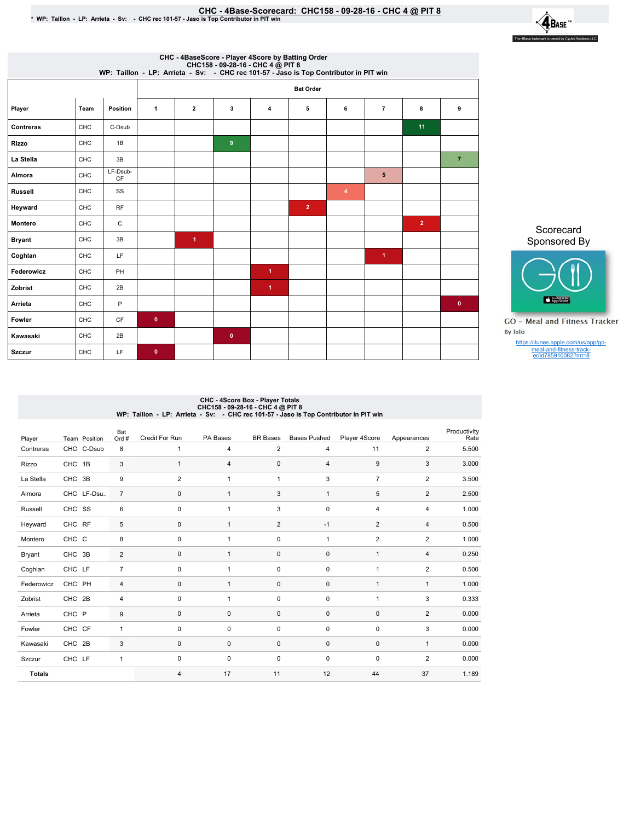# CHC-4Base-Scorecard:CHC158-09-28-16-CHC4@ PIT8 \*WP:Taillon-LP:Arrieta-Sv: -CHCrec101-57-JasoisTopContributorinPITwin

 $\cdot \mathbf{Q}_{\text{Base}}$ The 4Base trademark is owned by Cycled Solutions LLC.

| CHC - 4BaseScore - Player 4Score by Batting Order<br>CHC158 - 09-28-16 - CHC 4 @ PIT 8<br>WP: Taillon - LP: Arrieta - Sv: - CHC rec 101-57 - Jaso is Top Contributor in PIT win |      |                |                  |                      |                |                      |                |                |                      |                |                |  |  |  |
|---------------------------------------------------------------------------------------------------------------------------------------------------------------------------------|------|----------------|------------------|----------------------|----------------|----------------------|----------------|----------------|----------------------|----------------|----------------|--|--|--|
|                                                                                                                                                                                 |      |                | <b>Bat Order</b> |                      |                |                      |                |                |                      |                |                |  |  |  |
| Player                                                                                                                                                                          | Team | Position       | $\mathbf{1}$     | $\mathbf{2}$         | 3              | 4                    | 5              | 6              | $\overline{7}$       | 8              | 9              |  |  |  |
| Contreras                                                                                                                                                                       | CHC  | C-Dsub         |                  |                      |                |                      |                |                |                      | 11             |                |  |  |  |
| <b>Rizzo</b>                                                                                                                                                                    | CHC  | 1B             |                  |                      | $\overline{9}$ |                      |                |                |                      |                |                |  |  |  |
| La Stella                                                                                                                                                                       | CHC  | 3B             |                  |                      |                |                      |                |                |                      |                | $\overline{7}$ |  |  |  |
| Almora                                                                                                                                                                          | CHC  | LF-Dsub-<br>CF |                  |                      |                |                      |                |                | 5                    |                |                |  |  |  |
| <b>Russell</b>                                                                                                                                                                  | CHC  | SS             |                  |                      |                |                      |                | $\overline{4}$ |                      |                |                |  |  |  |
| Heyward                                                                                                                                                                         | CHC  | <b>RF</b>      |                  |                      |                |                      | $\overline{2}$ |                |                      |                |                |  |  |  |
| Montero                                                                                                                                                                         | CHC  | $\mathsf C$    |                  |                      |                |                      |                |                |                      | $\overline{2}$ |                |  |  |  |
| <b>Bryant</b>                                                                                                                                                                   | CHC  | 3B             |                  | $\blacktriangleleft$ |                |                      |                |                |                      |                |                |  |  |  |
| Coghlan                                                                                                                                                                         | CHC  | LF             |                  |                      |                |                      |                |                | $\blacktriangleleft$ |                |                |  |  |  |
| Federowicz                                                                                                                                                                      | CHC  | PH             |                  |                      |                | $\blacktriangleleft$ |                |                |                      |                |                |  |  |  |
| Zobrist                                                                                                                                                                         | CHC  | 2B             |                  |                      |                | $\blacktriangleleft$ |                |                |                      |                |                |  |  |  |
| Arrieta                                                                                                                                                                         | CHC  | P              |                  |                      |                |                      |                |                |                      |                | $\bullet$      |  |  |  |
| Fowler                                                                                                                                                                          | CHC  | CF             | $\pmb{0}$        |                      |                |                      |                |                |                      |                |                |  |  |  |
| Kawasaki                                                                                                                                                                        | CHC  | 2B             |                  |                      | $\bullet$      |                      |                |                |                      |                |                |  |  |  |
| <b>Szczur</b>                                                                                                                                                                   | CHC  | LF             | $\mathbf 0$      |                      |                |                      |                |                |                      |                |                |  |  |  |

Scorecard Sponsored By



**GO** - Meal and Fitness Tracker By Iolo

https://itunes.apple.com/us/app/go-meal-and-fitness-track-er/id785910082?mt=8

# CHC - 4Score Box - Player Totals<br>CHC158 - 09-28-16 CHC4 @ PIT 8<br>WP: Taillon - LP: Arrieta - Sv: - CHC rec 101-57 - Jaso is Top Contributor in PIT win

| Player        | Team Position | Bat<br>Ord #   | Credit For Run | PA Bases       | <b>BR</b> Bases | <b>Bases Pushed</b> | Player 4Score  | Appearances    | Productivity<br>Rate |
|---------------|---------------|----------------|----------------|----------------|-----------------|---------------------|----------------|----------------|----------------------|
| Contreras     | CHC C-Dsub    | 8              | 1              | $\overline{4}$ | $\overline{2}$  | 4                   | 11             | $\overline{2}$ | 5.500                |
| Rizzo         | CHC 1B        | 3              | 1              | $\overline{4}$ | $\mathbf 0$     | 4                   | 9              | 3              | 3.000                |
| La Stella     | CHC 3B        | 9              | $\overline{2}$ | $\mathbf{1}$   | $\mathbf{1}$    | 3                   | $\overline{7}$ | $\overline{2}$ | 3.500                |
| Almora        | CHC LF-Dsu    | $\overline{7}$ | 0              | 1              | 3               | $\mathbf{1}$        | 5              | $\overline{2}$ | 2.500                |
| Russell       | CHC SS        | 6              | 0              | $\mathbf{1}$   | 3               | 0                   | 4              | 4              | 1.000                |
| Heyward       | CHC RF        | 5              | $\mathbf 0$    | $\mathbf{1}$   | $\overline{2}$  | $-1$                | $\overline{2}$ | $\overline{4}$ | 0.500                |
| Montero       | CHC C         | 8              | 0              | $\overline{1}$ | $\mathbf 0$     | $\mathbf{1}$        | $\overline{2}$ | $\overline{2}$ | 1.000                |
| Bryant        | CHC 3B        | $\sqrt{2}$     | $\mathbf 0$    | $\mathbf{1}$   | $\mathbf 0$     | $\mathbf 0$         | 1              | $\overline{4}$ | 0.250                |
| Coghlan       | CHC LF        | $\overline{7}$ | 0              | $\mathbf{1}$   | $\mathbf 0$     | 0                   | $\mathbf{1}$   | $\overline{2}$ | 0.500                |
| Federowicz    | CHC PH        | $\overline{4}$ | $\mathbf 0$    | $\mathbf{1}$   | $\mathbf 0$     | 0                   | $\mathbf{1}$   | $\mathbf{1}$   | 1.000                |
| Zobrist       | CHC 2B        | 4              | 0              | $\mathbf{1}$   | $\mathbf 0$     | 0                   | 1              | 3              | 0.333                |
| Arrieta       | CHC P         | 9              | $\mathbf 0$    | $\mathbf 0$    | $\mathbf 0$     | 0                   | $\mathbf 0$    | $\overline{2}$ | 0.000                |
| Fowler        | CHC CF        | $\mathbf{1}$   | $\mathbf 0$    | $\mathbf 0$    | $\mathbf 0$     | $\mathbf 0$         | $\mathbf 0$    | 3              | 0.000                |
| Kawasaki      | CHC 2B        | 3              | $\mathbf 0$    | 0              | $\mathbf 0$     | 0                   | $\mathbf 0$    | $\mathbf{1}$   | 0.000                |
| Szczur        | CHC LF        | $\mathbf{1}$   | $\mathbf 0$    | $\mathbf 0$    | $\mathbf 0$     | 0                   | $\mathbf 0$    | $\overline{2}$ | 0.000                |
| <b>Totals</b> |               |                | $\overline{4}$ | 17             | 11              | 12                  | 44             | 37             | 1.189                |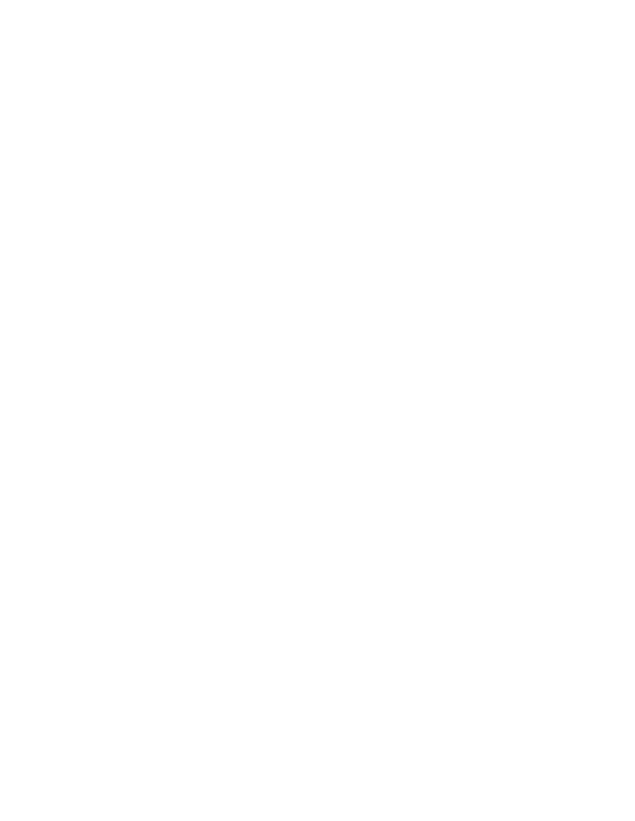| & + & %DVH6FRUH 30D NU 6FRUHE %DWMQJ 2 UGHU                                                       |         |                  |           |  |  |  |  |  |  |  |  |  |  |
|---------------------------------------------------------------------------------------------------|---------|------------------|-----------|--|--|--|--|--|--|--|--|--|--|
| $8 + 8$<br>$8+8$ # 3,7<br>: 3 7DLODRQ / 3 \$UUHMD 6Y & + & UHF - DVR LV 7RS & RQMJEXWRULQ 3,7 ZLQ |         |                  |           |  |  |  |  |  |  |  |  |  |  |
|                                                                                                   |         |                  | %DW2 UGHU |  |  |  |  |  |  |  |  |  |  |
| 300 HU                                                                                            | 7HDP    | 3 RVLMRQ         |           |  |  |  |  |  |  |  |  |  |  |
| & ROWHLDV                                                                                         | $8 + 8$ | & ' VXE          |           |  |  |  |  |  |  |  |  |  |  |
| $5$ 4] $R$                                                                                        | $8 + 8$ | $\%$             |           |  |  |  |  |  |  |  |  |  |  |
| $/DD6$ MACOD                                                                                      | $8 + 8$ | %                |           |  |  |  |  |  |  |  |  |  |  |
| \$ OP RUD                                                                                         | $8 + 8$ | $( )$ ' WE<br>&) |           |  |  |  |  |  |  |  |  |  |  |
| 5 XVVHO                                                                                           | $8 + 8$ | 66               |           |  |  |  |  |  |  |  |  |  |  |
| $+HZDUS$                                                                                          | $8 + 8$ | 5)               |           |  |  |  |  |  |  |  |  |  |  |
| 0 RQMMUR                                                                                          | $8 + 8$ | &                |           |  |  |  |  |  |  |  |  |  |  |
| %U DOW                                                                                            | $8 + 8$ | $\%$             |           |  |  |  |  |  |  |  |  |  |  |
| & RJ KODQ                                                                                         | $8 + 8$ | $\left( \right)$ |           |  |  |  |  |  |  |  |  |  |  |
| ) HGHJRZ LF                                                                                       | $8 + 8$ | $3+$             |           |  |  |  |  |  |  |  |  |  |  |
| $=$ REULWV                                                                                        | $8 + 8$ | $\%$             |           |  |  |  |  |  |  |  |  |  |  |
| \$ UUHMD                                                                                          | $8 + 8$ | 3                |           |  |  |  |  |  |  |  |  |  |  |
| ) RZ OHU                                                                                          | $8 + 8$ | &)               |           |  |  |  |  |  |  |  |  |  |  |
| . DZ DVDNL                                                                                        | $8 + 8$ | $\%$             |           |  |  |  |  |  |  |  |  |  |  |
| 6] FJ XU                                                                                          | $8 + 8$ | $\left( \right)$ |           |  |  |  |  |  |  |  |  |  |  |



<u>KWOSY WACHYDSSON FRP XYDSSJR</u><br>PHDODOGILWOHNYWOFN<br>HULG "PW"

|                        |  |         | & + & 6 FRUH%RI 30D AHU7 RWDOV |                                        |
|------------------------|--|---------|--------------------------------|----------------------------------------|
|                        |  | $8 + 8$ |                                | 8+8 #3.7                               |
| 3.7DMPO /3. SIIIHMO 6Y |  |         | $8+8$ IHF                      | - DMR IV 7 RS & ROMMEX MRIIIO 3 7 7 IO |

| 30MHU                |                | 7HDP 3RVMRQ | %DW<br>$2 \cup 5$ | & UHGLV) RU5 XQ | 3\$ %DMHV | %5 %DVHV | %DVHV3XVKHG | 300 HU 6 FRUH | \$SSHDUDGFHV | 3 URGXFWYUW<br>5 DM |
|----------------------|----------------|-------------|-------------------|-----------------|-----------|----------|-------------|---------------|--------------|---------------------|
| & ROWHUDV            |                | &+& & ' VXE |                   |                 |           |          |             |               |              |                     |
| $5$ $\downarrow$ ] R | $&+8$ %        |             |                   |                 |           |          |             |               |              |                     |
| /D6WOD               | $8 + 8$ %      |             |                   |                 |           |          |             |               |              |                     |
| \$ OP RUD            |                | $8+8$ /) WX |                   |                 |           |          |             |               |              |                     |
| 5 XVVHO              | $&+866$        |             |                   |                 |           |          |             |               |              |                     |
| $+HZDIB$             | $8+8$ 5)       |             |                   |                 |           |          |             |               |              |                     |
| 0 RQMUR              | $8 + 8$ $8$    |             |                   |                 |           |          |             |               |              |                     |
| <b>%UDQW</b>         | $8 + 8$ %      |             |                   |                 |           |          |             |               |              |                     |
| & RJKODQ             | $8+8$ ()       |             |                   |                 |           |          |             |               |              |                     |
| ) HGHURZ LF]         | $8+8$ 3+       |             |                   |                 |           |          |             |               |              |                     |
| $=$ REUMV            | $8 + 8$ %      |             |                   |                 |           |          |             |               |              |                     |
| \$ WILHAD            | $8 + 8 = 3$    |             |                   |                 |           |          |             |               |              |                     |
| ) RZ ONU             | $& 8 + 8 & 8)$ |             |                   |                 |           |          |             |               |              |                     |
| . DZ DVDNL           | $8 + 8$ %      |             |                   |                 |           |          |             |               |              |                     |
| 6] FJ XU             | $8+8$ ()       |             |                   |                 |           |          |             |               |              |                     |
| 7RWDOV               |                |             |                   |                 |           |          |             |               |              |                     |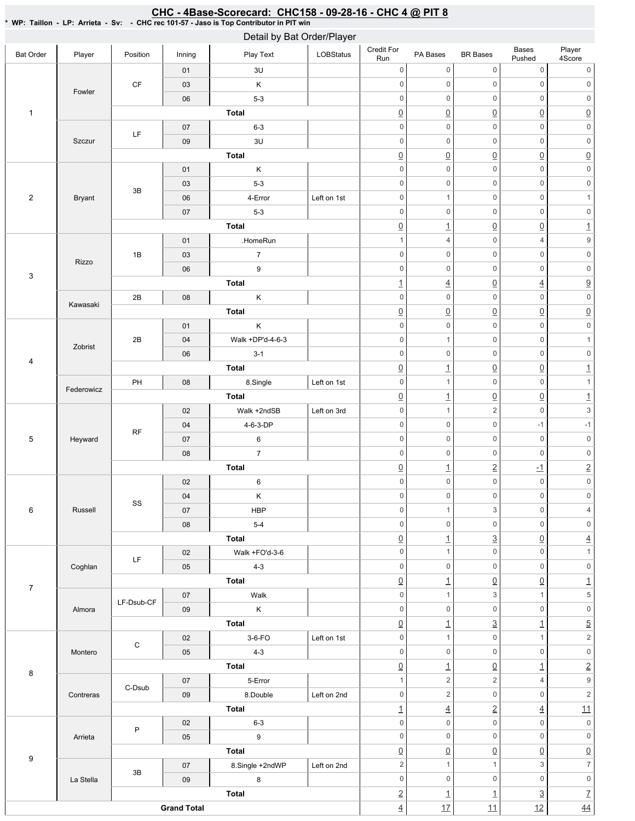#### \* WP: Taillon - LP: Arrieta - Sv: - CHC rec 101-57 - Jaso is Top Contributor in PIT win Bat Order | Player | Position | Inning | PlayText | LOBStatus Credit For Run PA Bases BR Bases Bases Pushed Player 4Score 1 Fowler CF 01 3U 03 K 06 5-3 Total Szczur LF 07 6-3 09 3U Total 2 Bryant 3B 01 K 03 5-3 06 | 4-Error | Left on 1st 07 5-3 Total 3 Rizzo 1B 01 .HomeRun 03 7 06 9 Total Kawasaki 2B 08 K Total 4 Zobrist 2B 01 K 04 Walk +DP'd-4-6-3 06 3-1 Total Federowicz PH 08 8.Single Left on 1st Total 5 Heyward RF 02 Walk +2ndSB Left on 3rd 04 **4-6-3-DP** 07 6 08 7 Total 6 Russell SS 02 6 04 K 07 **HBP** 08 5-4 Total 7 Coghlan LF 02 Walk+FO'd-3-6 05 4-3 Total Almora LF-Dsub-CF 07 Walk 09 K Total 8 Montero C 02 3-6-FO Left on 1st 05 4-3 Total **Contreras** C-Dsub 07 | 5-Error 09 8.Double Left on 2nd Total 9 Arrieta P 02 6-3 05 9 Total La Stella 3B 07 | 8.Single +2ndWP | Left on 2nd 09 8 Total **Grand Total** 0 0 0 0 0 0 0 0 0 0 0 0 0 0 0  $\overline{0}$   $\overline{0}$   $\overline{0}$   $\overline{0}$   $\overline{0}$   $\overline{0}$   $\overline{0}$ 0 0 0 0 0 0 0 0 0 0  $\overline{\circ}$   $\overline{\circ}$   $\overline{\circ}$   $\overline{\circ}$   $\overline{\circ}$   $\overline{\circ}$ 0 0 0 0 0 0 0 0 0 0  $0$  1 0 0 1 0 0 0 0 0  $\begin{array}{ccc} \boxed{0} & 1 & \boxed{0} & \boxed{0} & \boxed{1} \end{array}$ 1 4 0 4 9 0 0 0 0 0 0 0 0 0 0  $\frac{1}{4}$   $\frac{1}{1}$   $\frac{1}{2}$ 0 0 0 0 0  $\overline{0}$   $\overline{0}$   $\overline{0}$   $\overline{0}$   $\overline{0}$   $\overline{0}$   $\overline{0}$ 0 0 0 0 0  $0$  1 0 0 1 0 0 0 0 0  $\Omega$  1 0 0  $\Omega$  1 0 0 1 0 1  $\Omega$  1 0 0  $\Omega$  1  $0$  1 2 0 3  $0 \qquad 0 \qquad 0 \qquad -1 \qquad -1$ 0 0 0 0 0 0 0 0 0 0 0 1 2 -1 2 0 0 0 0 0 0 0 0 0 0  $0$  1 3 0 4 0 0 0 0 0 0 1 3 0 4  $0$  1 0 0 1 0 0 0 0 0  $\begin{array}{ccc} \boxed{0} & 1 & 0 & 0 & 1 \end{array}$ 0 1 3 1 5 0 0 0 0 0 0 1 3 1 5  $0$  1 0 1 2 0 0 0 0 0  $\begin{array}{ccc} \boxed{0} & 1 & \boxed{0} & 1 & 2 \end{array}$ 1 2 2 4 9  $0$  2 0 0 2 1  $\frac{1}{4}$   $\frac{2}{1}$   $\frac{4}{11}$ 0 0 0 0 0 0 0 0 0 0  $\overline{0}$   $\overline{0}$   $\overline{0}$   $\overline{0}$   $\overline{0}$   $\overline{0}$   $\overline{0}$ 2 1 1 3 7 0 0 0 0 0 2  $\begin{array}{ccc} 2 & 1 & 1 \end{array}$ <u>4</u> 17 11 12 44 Detail by Bat Order/Player

CHC - 4Base-Scorecard: CHC158 - 09-28-16 - CHC 4 @ PIT 8